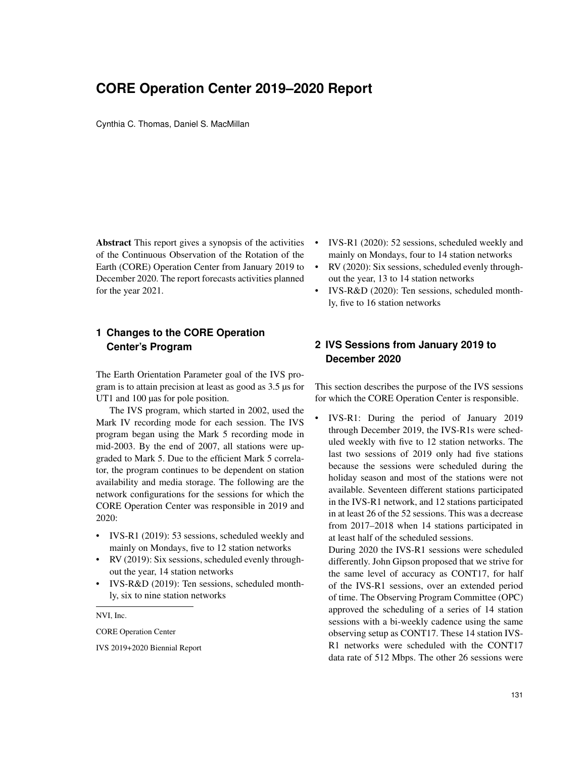# **CORE Operation Center 2019–2020 Report**

Cynthia C. Thomas, Daniel S. MacMillan

Abstract This report gives a synopsis of the activities of the Continuous Observation of the Rotation of the Earth (CORE) Operation Center from January 2019 to December 2020. The report forecasts activities planned for the year 2021.

## **1 Changes to the CORE Operation Center's Program**

The Earth Orientation Parameter goal of the IVS program is to attain precision at least as good as 3.5 µs for UT1 and 100 µas for pole position.

The IVS program, which started in 2002, used the Mark IV recording mode for each session. The IVS program began using the Mark 5 recording mode in mid-2003. By the end of 2007, all stations were upgraded to Mark 5. Due to the efficient Mark 5 correlator, the program continues to be dependent on station availability and media storage. The following are the network configurations for the sessions for which the CORE Operation Center was responsible in 2019 and 2020:

- IVS-R1 (2019): 53 sessions, scheduled weekly and mainly on Mondays, five to 12 station networks
- RV (2019): Six sessions, scheduled evenly throughout the year, 14 station networks
- IVS-R&D (2019): Ten sessions, scheduled monthly, six to nine station networks

NVI, Inc.

CORE Operation Center

IVS 2019+2020 Biennial Report

- IVS-R1 (2020): 52 sessions, scheduled weekly and mainly on Mondays, four to 14 station networks
- RV (2020): Six sessions, scheduled evenly throughout the year, 13 to 14 station networks
- IVS-R&D (2020): Ten sessions, scheduled monthly, five to 16 station networks

# **2 IVS Sessions from January 2019 to December 2020**

This section describes the purpose of the IVS sessions for which the CORE Operation Center is responsible.

• IVS-R1: During the period of January 2019 through December 2019, the IVS-R1s were scheduled weekly with five to 12 station networks. The last two sessions of 2019 only had five stations because the sessions were scheduled during the holiday season and most of the stations were not available. Seventeen different stations participated in the IVS-R1 network, and 12 stations participated in at least 26 of the 52 sessions. This was a decrease from 2017–2018 when 14 stations participated in at least half of the scheduled sessions.

During 2020 the IVS-R1 sessions were scheduled differently. John Gipson proposed that we strive for the same level of accuracy as CONT17, for half of the IVS-R1 sessions, over an extended period of time. The Observing Program Committee (OPC) approved the scheduling of a series of 14 station sessions with a bi-weekly cadence using the same observing setup as CONT17. These 14 station IVS-R1 networks were scheduled with the CONT17 data rate of 512 Mbps. The other 26 sessions were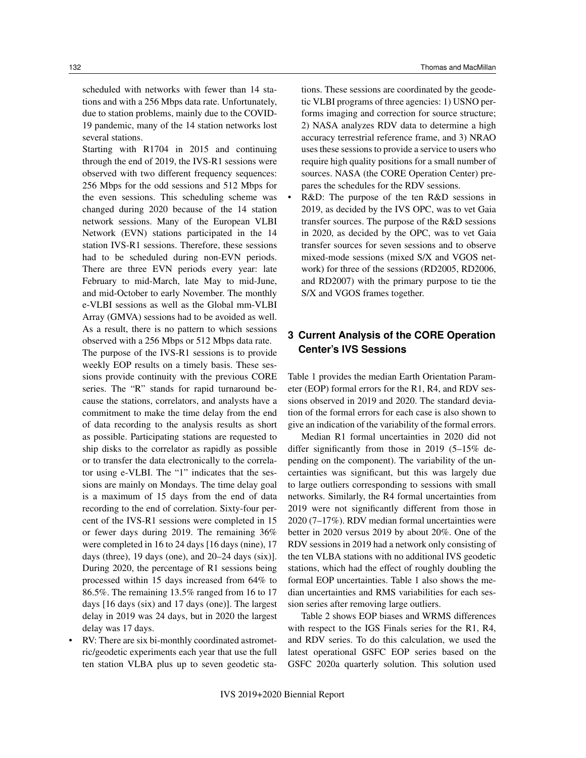scheduled with networks with fewer than 14 stations and with a 256 Mbps data rate. Unfortunately, due to station problems, mainly due to the COVID-19 pandemic, many of the 14 station networks lost several stations.

Starting with R1704 in 2015 and continuing through the end of 2019, the IVS-R1 sessions were observed with two different frequency sequences: 256 Mbps for the odd sessions and 512 Mbps for the even sessions. This scheduling scheme was changed during 2020 because of the 14 station network sessions. Many of the European VLBI Network (EVN) stations participated in the 14 station IVS-R1 sessions. Therefore, these sessions had to be scheduled during non-EVN periods. There are three EVN periods every year: late February to mid-March, late May to mid-June, and mid-October to early November. The monthly e-VLBI sessions as well as the Global mm-VLBI Array (GMVA) sessions had to be avoided as well. As a result, there is no pattern to which sessions observed with a 256 Mbps or 512 Mbps data rate.

The purpose of the IVS-R1 sessions is to provide weekly EOP results on a timely basis. These sessions provide continuity with the previous CORE series. The "R" stands for rapid turnaround because the stations, correlators, and analysts have a commitment to make the time delay from the end of data recording to the analysis results as short as possible. Participating stations are requested to ship disks to the correlator as rapidly as possible or to transfer the data electronically to the correlator using e-VLBI. The "1" indicates that the sessions are mainly on Mondays. The time delay goal is a maximum of 15 days from the end of data recording to the end of correlation. Sixty-four percent of the IVS-R1 sessions were completed in 15 or fewer days during 2019. The remaining 36% were completed in 16 to 24 days [16 days (nine), 17 days (three), 19 days (one), and 20–24 days (six)]. During 2020, the percentage of R1 sessions being processed within 15 days increased from 64% to 86.5%. The remaining 13.5% ranged from 16 to 17 days [16 days (six) and 17 days (one)]. The largest delay in 2019 was 24 days, but in 2020 the largest delay was 17 days.

RV: There are six bi-monthly coordinated astrometric/geodetic experiments each year that use the full ten station VLBA plus up to seven geodetic sta-

132 Thomas and MacMillan

tions. These sessions are coordinated by the geodetic VLBI programs of three agencies: 1) USNO performs imaging and correction for source structure; 2) NASA analyzes RDV data to determine a high accuracy terrestrial reference frame, and 3) NRAO uses these sessions to provide a service to users who require high quality positions for a small number of sources. NASA (the CORE Operation Center) prepares the schedules for the RDV sessions.

R&D: The purpose of the ten R&D sessions in 2019, as decided by the IVS OPC, was to vet Gaia transfer sources. The purpose of the R&D sessions in 2020, as decided by the OPC, was to vet Gaia transfer sources for seven sessions and to observe mixed-mode sessions (mixed S/X and VGOS network) for three of the sessions (RD2005, RD2006, and RD2007) with the primary purpose to tie the S/X and VGOS frames together.

## **3 Current Analysis of the CORE Operation Center's IVS Sessions**

Table 1 provides the median Earth Orientation Parameter (EOP) formal errors for the R1, R4, and RDV sessions observed in 2019 and 2020. The standard deviation of the formal errors for each case is also shown to give an indication of the variability of the formal errors.

Median R1 formal uncertainties in 2020 did not differ significantly from those in 2019 (5–15% depending on the component). The variability of the uncertainties was significant, but this was largely due to large outliers corresponding to sessions with small networks. Similarly, the R4 formal uncertainties from 2019 were not significantly different from those in 2020 (7–17%). RDV median formal uncertainties were better in 2020 versus 2019 by about 20%. One of the RDV sessions in 2019 had a network only consisting of the ten VLBA stations with no additional IVS geodetic stations, which had the effect of roughly doubling the formal EOP uncertainties. Table 1 also shows the median uncertainties and RMS variabilities for each session series after removing large outliers.

Table 2 shows EOP biases and WRMS differences with respect to the IGS Finals series for the R1, R4, and RDV series. To do this calculation, we used the latest operational GSFC EOP series based on the GSFC 2020a quarterly solution. This solution used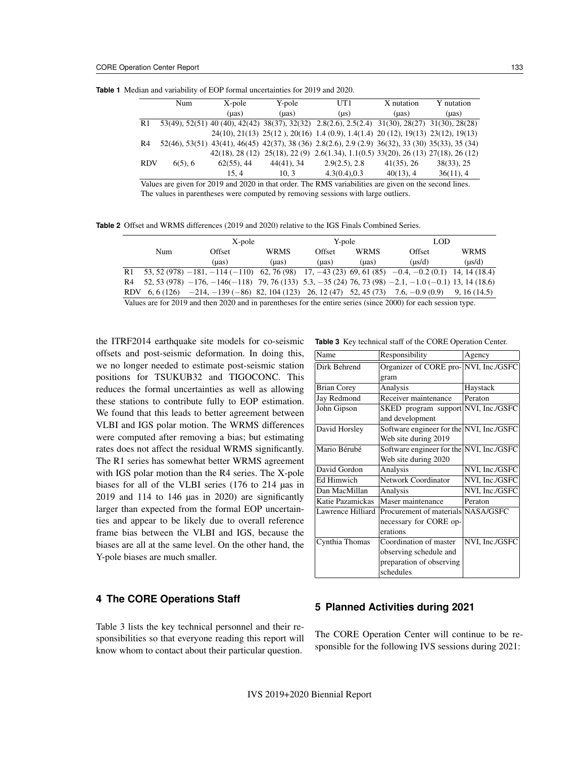|                | Num        | X-pole        | Y-pole     | UT1                                                                                                             | X nutation    | Y nutation |
|----------------|------------|---------------|------------|-----------------------------------------------------------------------------------------------------------------|---------------|------------|
|                |            | (µas)         | (uas)      | $(\mu s)$                                                                                                       | (uas)         | (µas)      |
| R1             |            |               |            | 53(49), 52(51) 40 (40), 42(42) 38(37), 32(32) 2.8(2.6), 2.5(2.4) 31(30), 28(27) 31(30), 28(28)                  |               |            |
|                |            |               |            | 24(10), 21(13) 25(12), 20(16) 1.4 (0.9), 1.4(1.4) 20(12), 19(13) 23(12), 19(13)                                 |               |            |
| R <sub>4</sub> |            |               |            | 52(46), 53(51) 43(41), 46(45) 42(37), 38 (36) 2.8(2.6), 2.9 (2.9) 36(32), 33 (30) 35(33), 35 (34)               |               |            |
|                |            |               |            | $42(18)$ , $28(12)$ , $25(18)$ , $22(9)$ , $2.6(1.34)$ , $1.1(0.5)$ , $33(20)$ , $26(13)$ , $27(18)$ , $26(12)$ |               |            |
| <b>RDV</b>     | $6(5)$ , 6 | $62(55)$ , 44 | 44(41), 34 | $2.9(2.5)$ , 2.8                                                                                                | $41(35)$ , 26 | 38(33), 25 |
|                |            | 15.4          | 10.3       | $4.3(0.4)$ , 0.3                                                                                                | $40(13)$ , 4  | 36(11), 4  |

**Table 1** Median and variability of EOP formal uncertainties for 2019 and 2020.

Values are given for 2019 and 2020 in that order. The RMS variabilities are given on the second lines. The values in parentheses were computed by removing sessions with large outliers.

**Table 2** Offset and WRMS differences (2019 and 2020) relative to the IGS Finals Combined Series.

|                                                                                                                |            | X-pole                                                                                                               |             | Y-pole |             | <b>LOD</b> |             |
|----------------------------------------------------------------------------------------------------------------|------------|----------------------------------------------------------------------------------------------------------------------|-------------|--------|-------------|------------|-------------|
|                                                                                                                | <b>Num</b> | Offset                                                                                                               | <b>WRMS</b> | Offset | <b>WRMS</b> | Offset     | <b>WRMS</b> |
|                                                                                                                |            | (uas)                                                                                                                | (uas)       | (uas)  | (uas)       | (us/d)     | $(\mu s/d)$ |
| R1                                                                                                             |            | 53, 52 (978) $-181$ , $-114$ ( $-110$ ) 62, 76 (98) 17, $-43$ (23) 69, 61 (85) $-0.4$ , $-0.2$ (0.1) 14, 14 (18.4)   |             |        |             |            |             |
| R4                                                                                                             |            | 52, 53 (978) $-176$ , $-146(-118)$ 79, 76 (133) 5.3, $-35$ (24) 76, 73 (98) $-2.1$ , $-1.0$ ( $-0.1$ ) 13, 14 (18.6) |             |        |             |            |             |
|                                                                                                                |            | RDV $6, 6(126)$ $-214, -139(-86)$ 82, 104 (123) 26, 12 (47) 52, 45 (73) 7.6, $-0.9(0.9)$                             |             |        |             |            | 9.16(14.5)  |
| Values are for 2019 and then 2020 and in parentheses for the entire series (since 2000) for each session type. |            |                                                                                                                      |             |        |             |            |             |

the ITRF2014 earthquake site models for co-seismic offsets and post-seismic deformation. In doing this, we no longer needed to estimate post-seismic station positions for TSUKUB32 and TIGOCONC. This reduces the formal uncertainties as well as allowing these stations to contribute fully to EOP estimation. We found that this leads to better agreement between VLBI and IGS polar motion. The WRMS differences were computed after removing a bias; but estimating rates does not affect the residual WRMS significantly. The R1 series has somewhat better WRMS agreement with IGS polar motion than the R4 series. The X-pole biases for all of the VLBI series (176 to 214 µas in 2019 and 114 to 146 µas in 2020) are significantly larger than expected from the formal EOP uncertainties and appear to be likely due to overall reference frame bias between the VLBI and IGS, because the biases are all at the same level. On the other hand, the Y-pole biases are much smaller.

### **4 The CORE Operations Staff**

Table 3 lists the key technical personnel and their responsibilities so that everyone reading this report will know whom to contact about their particular question.

**Table 3** Key technical staff of the CORE Operation Center.

| Name               | Responsibility                                                   | Agency         |  |
|--------------------|------------------------------------------------------------------|----------------|--|
| Dirk Behrend       | Organizer of CORE pro- NVI, Inc./GSFC                            |                |  |
|                    | gram                                                             |                |  |
| <b>Brian Corey</b> | Analysis                                                         | Haystack       |  |
| Jay Redmond        | Receiver maintenance                                             | Peraton        |  |
| John Gipson        | SKED program support NVI, Inc./GSFC<br>and development           |                |  |
| David Horsley      | Software engineer for the NVI, Inc./GSFC<br>Web site during 2019 |                |  |
| Mario Bérubé       | Software engineer for the NVI, Inc./GSFC<br>Web site during 2020 |                |  |
| David Gordon       | Analysis                                                         | NVI, Inc./GSFC |  |
| Ed Himwich         | Network Coordinator                                              | NVI, Inc./GSFC |  |
| Dan MacMillan      | Analysis                                                         | NVI, Inc./GSFC |  |
| Katie Pazamickas   | Maser maintenance                                                | Peraton        |  |
| Lawrence Hilliard  | Procurement of materials NASA/GSFC                               |                |  |
|                    | necessary for CORE op-                                           |                |  |
|                    | erations                                                         |                |  |
| Cynthia Thomas     | Coordination of master<br>observing schedule and                 | NVI, Inc./GSFC |  |
|                    | preparation of observing                                         |                |  |
|                    | schedules                                                        |                |  |

#### **5 Planned Activities during 2021**

The CORE Operation Center will continue to be responsible for the following IVS sessions during 2021: